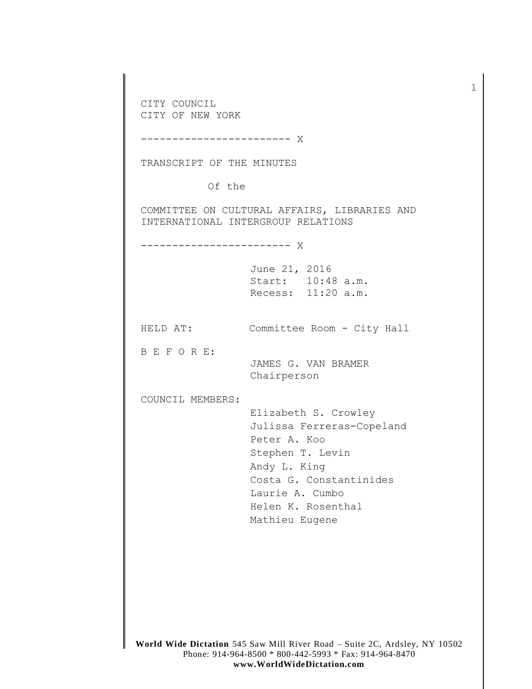CITY COUNCIL CITY OF NEW YORK ------------------------ X TRANSCRIPT OF THE MINUTES Of the COMMITTEE ON CULTURAL AFFAIRS, LIBRARIES AND INTERNATIONAL INTERGROUP RELATIONS ------------------------ X June 21, 2016 Start: 10:48 a.m. Recess: 11:20 a.m. HELD AT: Committee Room - City Hall B E F O R E: JAMES G. VAN BRAMER Chairperson COUNCIL MEMBERS: Elizabeth S. Crowley Julissa Ferreras-Copeland Peter A. Koo Stephen T. Levin Andy L. King Costa G. Constantinides Laurie A. Cumbo Helen K. Rosenthal Mathieu Eugene

1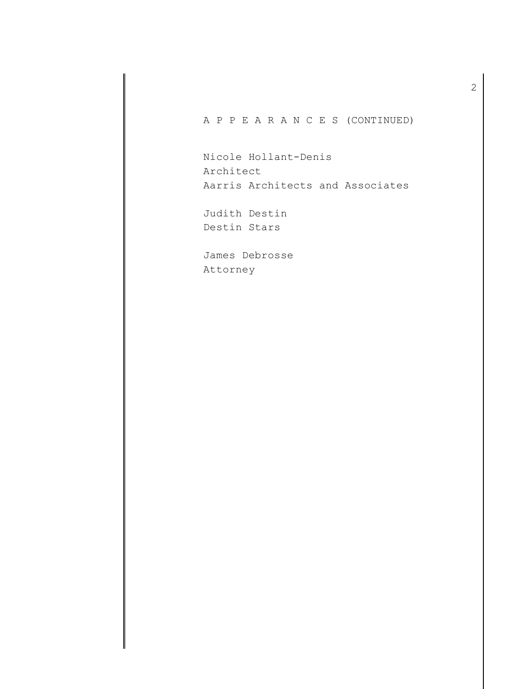A P P E A R A N C E S (CONTINUED)

Nicole Hollant-Denis Architect Aarris Architects and Associates

Judith Destin Destin Stars

James Debrosse Attorney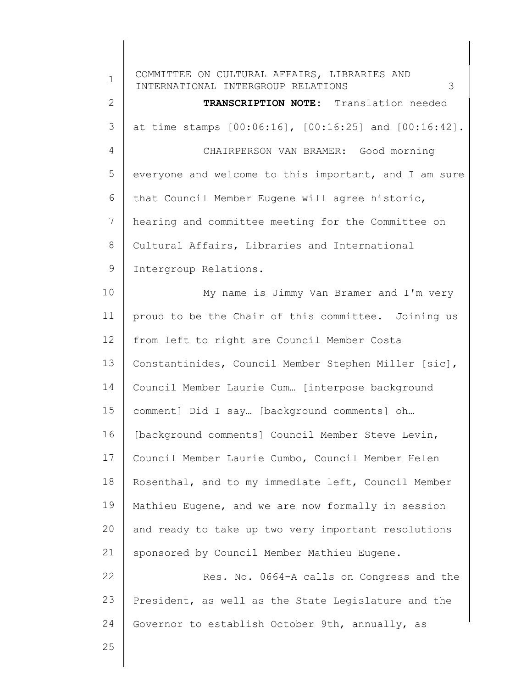| $\mathbf 1$       | COMMITTEE ON CULTURAL AFFAIRS, LIBRARIES AND<br>INTERNATIONAL INTERGROUP RELATIONS<br>3 |
|-------------------|-----------------------------------------------------------------------------------------|
| $\mathbf{2}$      | TRANSCRIPTION NOTE: Translation needed                                                  |
| 3                 | at time stamps [00:06:16], [00:16:25] and [00:16:42].                                   |
| 4                 | CHAIRPERSON VAN BRAMER: Good morning                                                    |
| 5                 | everyone and welcome to this important, and I am sure                                   |
| 6                 | that Council Member Eugene will agree historic,                                         |
| 7                 | hearing and committee meeting for the Committee on                                      |
| 8                 | Cultural Affairs, Libraries and International                                           |
| 9                 | Intergroup Relations.                                                                   |
| 10                | My name is Jimmy Van Bramer and I'm very                                                |
| 11                | proud to be the Chair of this committee. Joining us                                     |
| $12 \overline{ }$ | from left to right are Council Member Costa                                             |
| 13                | Constantinides, Council Member Stephen Miller [sic],                                    |
| 14                | Council Member Laurie Cum [interpose background                                         |
| 15                | comment] Did I say [background comments] oh                                             |
| 16                | [background comments] Council Member Steve Levin,                                       |
| 17                | Council Member Laurie Cumbo, Council Member Helen                                       |
| 18                | Rosenthal, and to my immediate left, Council Member                                     |
| 19                | Mathieu Eugene, and we are now formally in session                                      |
| 20                | and ready to take up two very important resolutions                                     |
| 21                | sponsored by Council Member Mathieu Eugene.                                             |
| 22                | Res. No. 0664-A calls on Congress and the                                               |
| 23                | President, as well as the State Legislature and the                                     |
| 24                | Governor to establish October 9th, annually, as                                         |
| 25                |                                                                                         |
|                   |                                                                                         |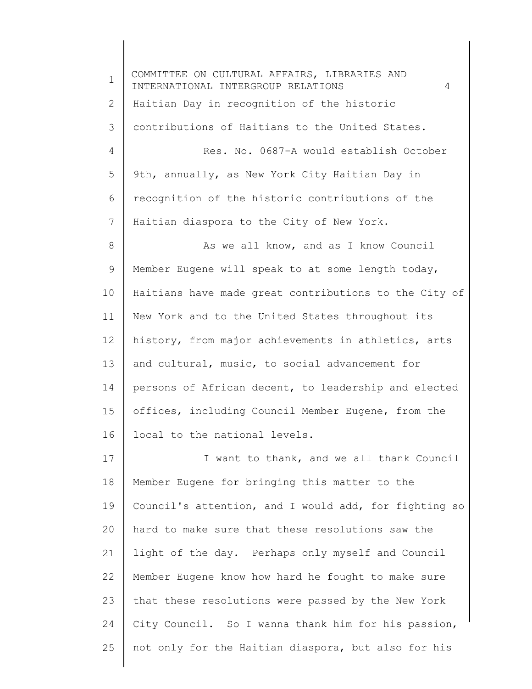| $\mathbf 1$ | COMMITTEE ON CULTURAL AFFAIRS, LIBRARIES AND<br>INTERNATIONAL INTERGROUP RELATIONS<br>4 |
|-------------|-----------------------------------------------------------------------------------------|
| 2           | Haitian Day in recognition of the historic                                              |
| 3           | contributions of Haitians to the United States.                                         |
| 4           | Res. No. 0687-A would establish October                                                 |
| 5           | 9th, annually, as New York City Haitian Day in                                          |
| 6           | recognition of the historic contributions of the                                        |
| 7           | Haitian diaspora to the City of New York.                                               |
| 8           | As we all know, and as I know Council                                                   |
| 9           | Member Eugene will speak to at some length today,                                       |
| 10          | Haitians have made great contributions to the City of                                   |
| 11          | New York and to the United States throughout its                                        |
| 12          | history, from major achievements in athletics, arts                                     |
| 13          | and cultural, music, to social advancement for                                          |
| 14          | persons of African decent, to leadership and elected                                    |
| 15          | offices, including Council Member Eugene, from the                                      |
| 16          | local to the national levels.                                                           |
| 17          | I want to thank, and we all thank Council                                               |
| 18          | Member Eugene for bringing this matter to the                                           |
| 19          | Council's attention, and I would add, for fighting so                                   |
| 20          | hard to make sure that these resolutions saw the                                        |
| 21          | light of the day. Perhaps only myself and Council                                       |
| 22          | Member Eugene know how hard he fought to make sure                                      |
| 23          | that these resolutions were passed by the New York                                      |
| 24          | City Council. So I wanna thank him for his passion,                                     |
| 25          | not only for the Haitian diaspora, but also for his                                     |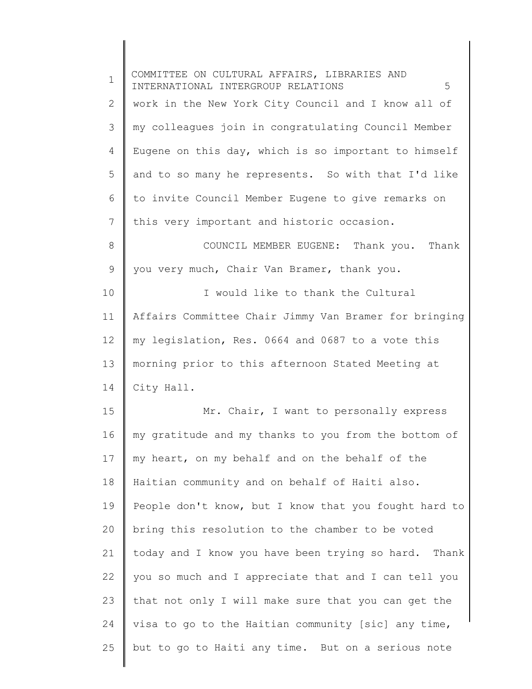| $\mathbf 1$ | COMMITTEE ON CULTURAL AFFAIRS, LIBRARIES AND<br>5<br>INTERNATIONAL INTERGROUP RELATIONS |
|-------------|-----------------------------------------------------------------------------------------|
| 2           | work in the New York City Council and I know all of                                     |
| 3           | my colleagues join in congratulating Council Member                                     |
| 4           | Eugene on this day, which is so important to himself                                    |
| 5           | and to so many he represents. So with that I'd like                                     |
| 6           | to invite Council Member Eugene to give remarks on                                      |
| 7           | this very important and historic occasion.                                              |
| 8           | COUNCIL MEMBER EUGENE: Thank you. Thank                                                 |
| 9           | you very much, Chair Van Bramer, thank you.                                             |
| 10          | I would like to thank the Cultural                                                      |
| 11          | Affairs Committee Chair Jimmy Van Bramer for bringing                                   |
| 12          | my legislation, Res. 0664 and 0687 to a vote this                                       |
| 13          | morning prior to this afternoon Stated Meeting at                                       |
| 14          | City Hall.                                                                              |
| 15          | Mr. Chair, I want to personally express                                                 |
| 16          | my gratitude and my thanks to you from the bottom of                                    |
| 17          | my heart, on my behalf and on the behalf of the                                         |
| 18          | Haitian community and on behalf of Haiti also.                                          |
| 19          | People don't know, but I know that you fought hard to                                   |
| 20          | bring this resolution to the chamber to be voted                                        |
| 21          | today and I know you have been trying so hard. Thank                                    |
| 22          | you so much and I appreciate that and I can tell you                                    |
| 23          | that not only I will make sure that you can get the                                     |
| 24          | visa to go to the Haitian community [sic] any time,                                     |
| 25          | but to go to Haiti any time. But on a serious note                                      |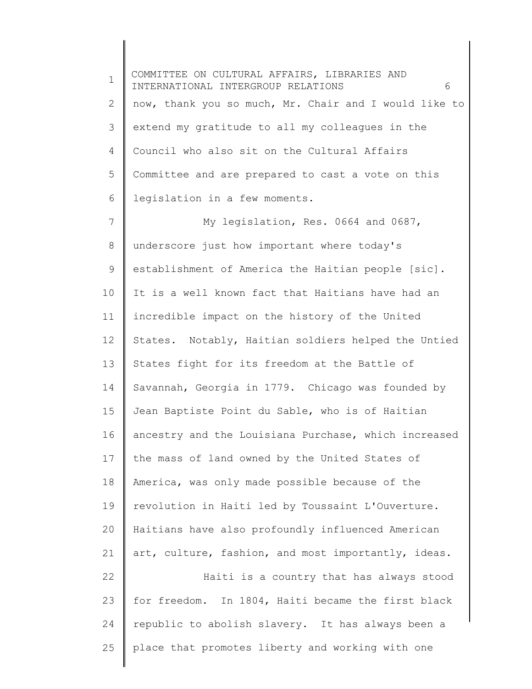1 2 3 4 5 6 7 8 9 10 11 12 13 14 15 16 17 18 19 20 21 22 23 24 25 COMMITTEE ON CULTURAL AFFAIRS, LIBRARIES AND INTERNATIONAL INTERGROUP RELATIONS 6 now, thank you so much, Mr. Chair and I would like to extend my gratitude to all my colleagues in the Council who also sit on the Cultural Affairs Committee and are prepared to cast a vote on this legislation in a few moments. My legislation, Res. 0664 and 0687, underscore just how important where today's establishment of America the Haitian people [sic]. It is a well known fact that Haitians have had an incredible impact on the history of the United States. Notably, Haitian soldiers helped the Untied States fight for its freedom at the Battle of Savannah, Georgia in 1779. Chicago was founded by Jean Baptiste Point du Sable, who is of Haitian ancestry and the Louisiana Purchase, which increased the mass of land owned by the United States of America, was only made possible because of the revolution in Haiti led by Toussaint L'Ouverture. Haitians have also profoundly influenced American art, culture, fashion, and most importantly, ideas. Haiti is a country that has always stood for freedom. In 1804, Haiti became the first black republic to abolish slavery. It has always been a place that promotes liberty and working with one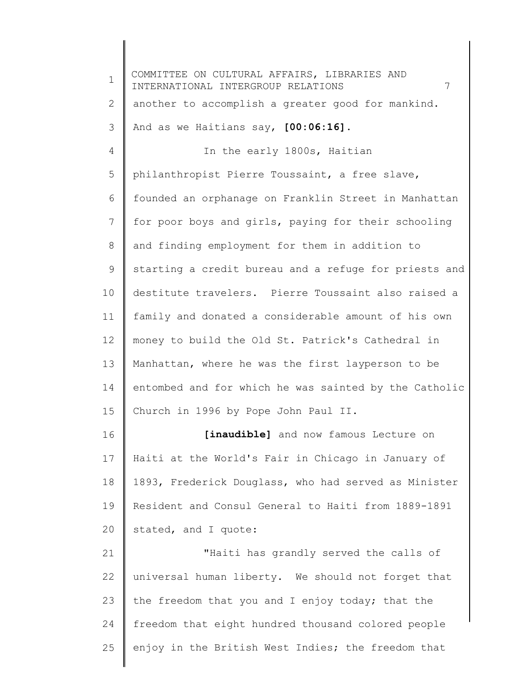1 2 3 4 5 6 7 8 9 10 11 12 13 14 15 16 17 18 19 20 21 22 23 24 25 COMMITTEE ON CULTURAL AFFAIRS, LIBRARIES AND INTERNATIONAL INTERGROUP RELATIONS 7 another to accomplish a greater good for mankind. And as we Haitians say, **[00:06:16]**. In the early 1800s, Haitian philanthropist Pierre Toussaint, a free slave, founded an orphanage on Franklin Street in Manhattan for poor boys and girls, paying for their schooling and finding employment for them in addition to starting a credit bureau and a refuge for priests and destitute travelers. Pierre Toussaint also raised a family and donated a considerable amount of his own money to build the Old St. Patrick's Cathedral in Manhattan, where he was the first layperson to be entombed and for which he was sainted by the Catholic Church in 1996 by Pope John Paul II. [inaudible] and now famous Lecture on Haiti at the World's Fair in Chicago in January of 1893, Frederick Douglass, who had served as Minister Resident and Consul General to Haiti from 1889-1891 stated, and I quote: "Haiti has grandly served the calls of universal human liberty. We should not forget that the freedom that you and I enjoy today; that the freedom that eight hundred thousand colored people enjoy in the British West Indies; the freedom that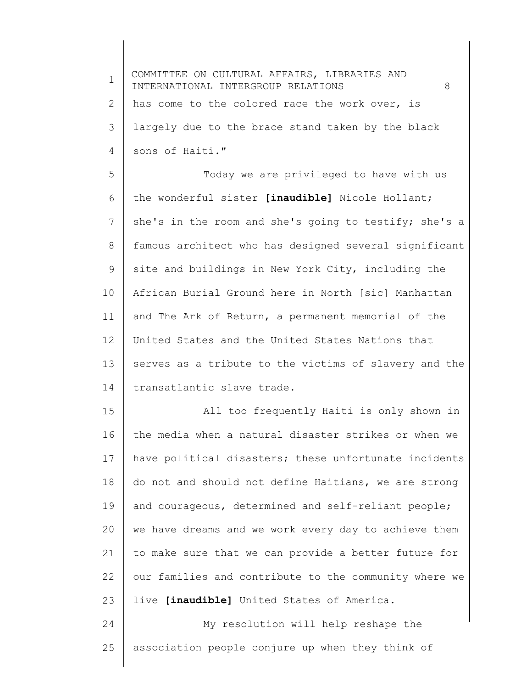| $\mathbf 1$     | COMMITTEE ON CULTURAL AFFAIRS, LIBRARIES AND<br>INTERNATIONAL INTERGROUP RELATIONS<br>8 |
|-----------------|-----------------------------------------------------------------------------------------|
| $\overline{2}$  | has come to the colored race the work over, is                                          |
| 3               | largely due to the brace stand taken by the black                                       |
| 4               | sons of Haiti."                                                                         |
| 5               | Today we are privileged to have with us                                                 |
| 6               | the wonderful sister [inaudible] Nicole Hollant;                                        |
| $\overline{7}$  | she's in the room and she's going to testify; she's a                                   |
| 8               | famous architect who has designed several significant                                   |
| 9               | site and buildings in New York City, including the                                      |
| 10              | African Burial Ground here in North [sic] Manhattan                                     |
| 11              | and The Ark of Return, a permanent memorial of the                                      |
| 12 <sup>°</sup> | United States and the United States Nations that                                        |
| 13              | serves as a tribute to the victims of slavery and the                                   |
| 14              | transatlantic slave trade.                                                              |
| 15              | All too frequently Haiti is only shown in                                               |
| 16              | the media when a natural disaster strikes or when we                                    |
| 17              | have political disasters; these unfortunate incidents                                   |
| 18              | do not and should not define Haitians, we are strong                                    |
| 19              | and courageous, determined and self-reliant people;                                     |
| 20              | we have dreams and we work every day to achieve them                                    |
| 21              | to make sure that we can provide a better future for                                    |
| 22              | our families and contribute to the community where we                                   |
| 23              | live [inaudible] United States of America.                                              |
| 24              | My resolution will help reshape the                                                     |
| 25              | association people conjure up when they think of                                        |
|                 |                                                                                         |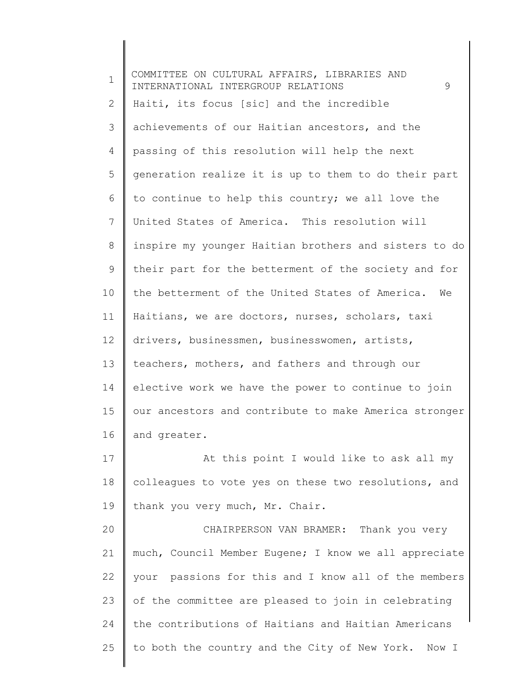| $\mathbf 1$ | COMMITTEE ON CULTURAL AFFAIRS, LIBRARIES AND<br>INTERNATIONAL INTERGROUP RELATIONS<br>9 |
|-------------|-----------------------------------------------------------------------------------------|
| 2           | Haiti, its focus [sic] and the incredible                                               |
| 3           | achievements of our Haitian ancestors, and the                                          |
| 4           | passing of this resolution will help the next                                           |
| 5           | generation realize it is up to them to do their part                                    |
| 6           | to continue to help this country; we all love the                                       |
| 7           | United States of America. This resolution will                                          |
| 8           | inspire my younger Haitian brothers and sisters to do                                   |
| 9           | their part for the betterment of the society and for                                    |
| 10          | the betterment of the United States of America.<br>We                                   |
| 11          | Haitians, we are doctors, nurses, scholars, taxi                                        |
| 12          | drivers, businessmen, businesswomen, artists,                                           |
| 13          | teachers, mothers, and fathers and through our                                          |
| 14          | elective work we have the power to continue to join                                     |
| 15          | our ancestors and contribute to make America stronger                                   |
| 16          | and greater.                                                                            |
| 17          | At this point I would like to ask all my                                                |
| 18          | colleagues to vote yes on these two resolutions, and                                    |
| 19          | thank you very much, Mr. Chair.                                                         |
| 20          | CHAIRPERSON VAN BRAMER: Thank you very                                                  |
| 21          | much, Council Member Eugene; I know we all appreciate                                   |
| 22          | your passions for this and I know all of the members                                    |
| 23          | of the committee are pleased to join in celebrating                                     |
| 24          | the contributions of Haitians and Haitian Americans                                     |
| 25          | to both the country and the City of New York. Now I                                     |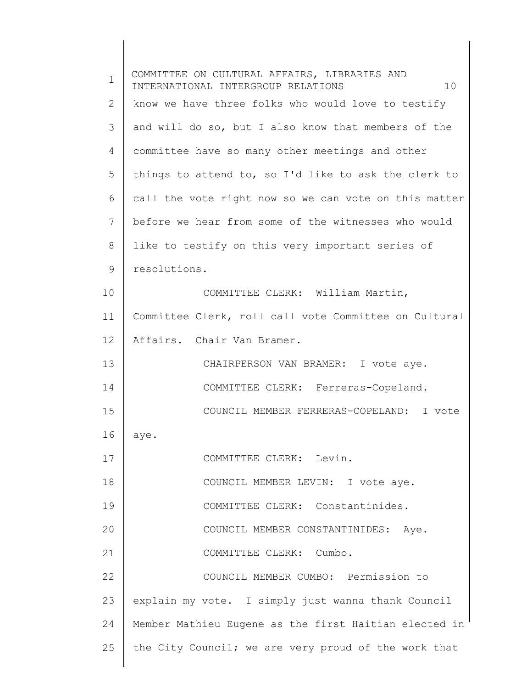| $\mathbf 1$ | COMMITTEE ON CULTURAL AFFAIRS, LIBRARIES AND<br>INTERNATIONAL INTERGROUP RELATIONS<br>10 |
|-------------|------------------------------------------------------------------------------------------|
| 2           | know we have three folks who would love to testify                                       |
| 3           | and will do so, but I also know that members of the                                      |
| 4           | committee have so many other meetings and other                                          |
| 5           | things to attend to, so I'd like to ask the clerk to                                     |
| 6           | call the vote right now so we can vote on this matter                                    |
| 7           | before we hear from some of the witnesses who would                                      |
| 8           | like to testify on this very important series of                                         |
| 9           | resolutions.                                                                             |
| 10          | COMMITTEE CLERK: William Martin,                                                         |
| 11          | Committee Clerk, roll call vote Committee on Cultural                                    |
| 12          | Affairs. Chair Van Bramer.                                                               |
| 13          | CHAIRPERSON VAN BRAMER: I vote aye.                                                      |
| 14          | COMMITTEE CLERK: Ferreras-Copeland.                                                      |
| 15          | COUNCIL MEMBER FERRERAS-COPELAND: I vote                                                 |
| 16          | aye.                                                                                     |
| 17          | COMMITTEE CLERK: Levin.                                                                  |
| 18          | COUNCIL MEMBER LEVIN: I vote aye.                                                        |
| 19          | COMMITTEE CLERK: Constantinides.                                                         |
| 20          | COUNCIL MEMBER CONSTANTINIDES: Aye.                                                      |
| 21          | COMMITTEE CLERK: Cumbo.                                                                  |
| 22          | COUNCIL MEMBER CUMBO: Permission to                                                      |
| 23          | explain my vote. I simply just wanna thank Council                                       |
| 24          | Member Mathieu Eugene as the first Haitian elected in                                    |
| 25          | the City Council; we are very proud of the work that                                     |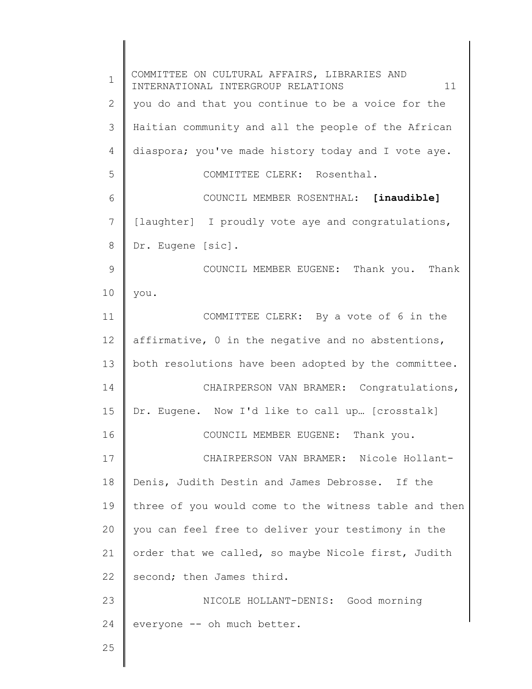1 2 3 4 5 6 7 8 9 10 11 12 13 14 15 16 17 18 19 20 21 22 23 24 25 COMMITTEE ON CULTURAL AFFAIRS, LIBRARIES AND INTERNATIONAL INTERGROUP RELATIONS 11 you do and that you continue to be a voice for the Haitian community and all the people of the African diaspora; you've made history today and I vote aye. COMMITTEE CLERK: Rosenthal. COUNCIL MEMBER ROSENTHAL: **[inaudible]** [laughter] I proudly vote aye and congratulations, Dr. Eugene [sic]. COUNCIL MEMBER EUGENE: Thank you. Thank you. COMMITTEE CLERK: By a vote of 6 in the affirmative, 0 in the negative and no abstentions, both resolutions have been adopted by the committee. CHAIRPERSON VAN BRAMER: Congratulations, Dr. Eugene. Now I'd like to call up… [crosstalk] COUNCIL MEMBER EUGENE: Thank you. CHAIRPERSON VAN BRAMER: Nicole Hollant-Denis, Judith Destin and James Debrosse. If the three of you would come to the witness table and then you can feel free to deliver your testimony in the order that we called, so maybe Nicole first, Judith second; then James third. NICOLE HOLLANT-DENIS: Good morning everyone -- oh much better.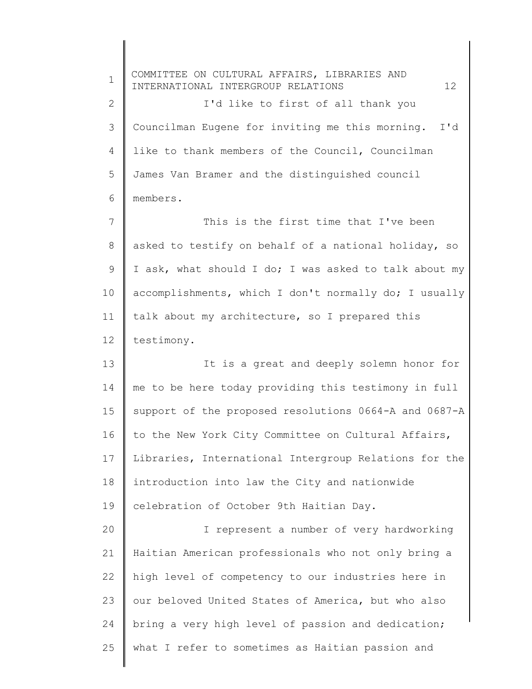1 2 3 4 5 6 7 8 9 10 11 12 13 14 15 16 17 18 19 20 21 22 23 24 25 COMMITTEE ON CULTURAL AFFAIRS, LIBRARIES AND INTERNATIONAL INTERGROUP RELATIONS 12 I'd like to first of all thank you Councilman Eugene for inviting me this morning. I'd like to thank members of the Council, Councilman James Van Bramer and the distinguished council members. This is the first time that I've been asked to testify on behalf of a national holiday, so I ask, what should I do; I was asked to talk about my accomplishments, which I don't normally do; I usually talk about my architecture, so I prepared this testimony. It is a great and deeply solemn honor for me to be here today providing this testimony in full support of the proposed resolutions 0664-A and 0687-A to the New York City Committee on Cultural Affairs, Libraries, International Intergroup Relations for the introduction into law the City and nationwide celebration of October 9th Haitian Day. I represent a number of very hardworking Haitian American professionals who not only bring a high level of competency to our industries here in our beloved United States of America, but who also bring a very high level of passion and dedication; what I refer to sometimes as Haitian passion and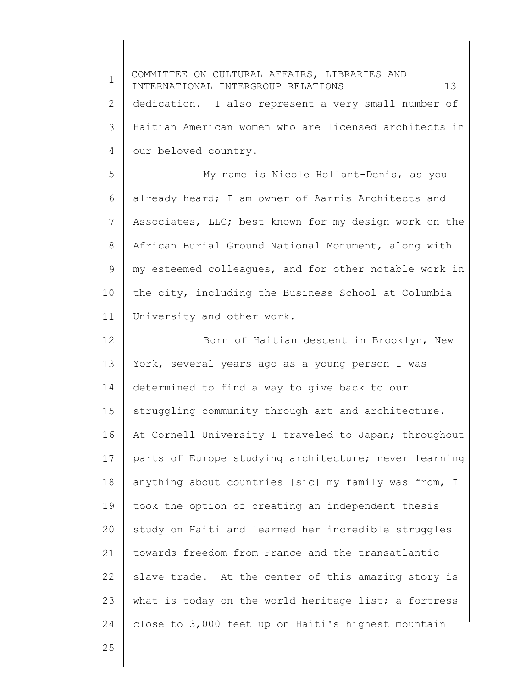| $\mathbf 1$  | COMMITTEE ON CULTURAL AFFAIRS, LIBRARIES AND<br>INTERNATIONAL INTERGROUP RELATIONS<br>13 |
|--------------|------------------------------------------------------------------------------------------|
| $\mathbf{2}$ | dedication. I also represent a very small number of                                      |
| 3            | Haitian American women who are licensed architects in                                    |
| 4            | our beloved country.                                                                     |
| 5            | My name is Nicole Hollant-Denis, as you                                                  |
| 6            | already heard; I am owner of Aarris Architects and                                       |
| 7            | Associates, LLC; best known for my design work on the                                    |
| 8            | African Burial Ground National Monument, along with                                      |
| 9            | my esteemed colleagues, and for other notable work in                                    |
| 10           | the city, including the Business School at Columbia                                      |
| 11           | University and other work.                                                               |
| 12           | Born of Haitian descent in Brooklyn, New                                                 |
| 13           | York, several years ago as a young person I was                                          |
| 14           | determined to find a way to give back to our                                             |
| 15           | struggling community through art and architecture.                                       |
| 16           | At Cornell University I traveled to Japan; throughout                                    |
| 17           | parts of Europe studying architecture; never learning                                    |
| 18           | anything about countries [sic] my family was from, I                                     |
| 19           | took the option of creating an independent thesis                                        |
| 20           | study on Haiti and learned her incredible struggles                                      |
| 21           | towards freedom from France and the transatlantic                                        |
| 22           | slave trade. At the center of this amazing story is                                      |
| 23           | what is today on the world heritage list; a fortress                                     |
| 24           | close to 3,000 feet up on Haiti's highest mountain                                       |
| 25           |                                                                                          |
|              |                                                                                          |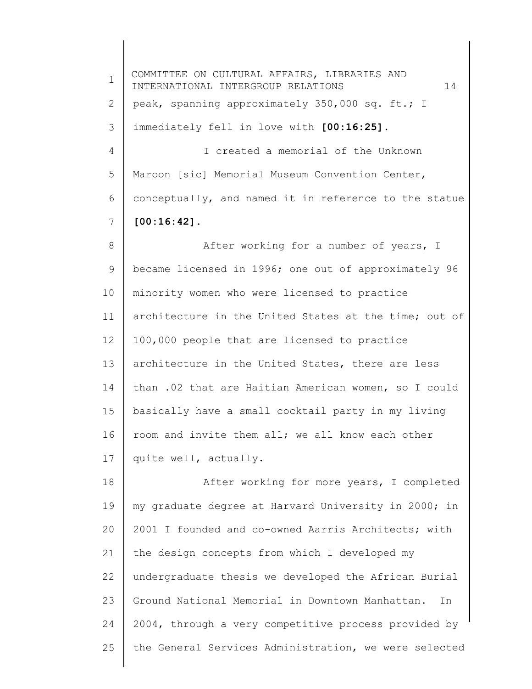1 2 3 4 5 6 7 8 9 10 11 12 13 14 15 16 17 18 19 20 21 22 23 24 25 COMMITTEE ON CULTURAL AFFAIRS, LIBRARIES AND INTERNATIONAL INTERGROUP RELATIONS 14 peak, spanning approximately 350,000 sq. ft.; I immediately fell in love with **[00:16:25]**. I created a memorial of the Unknown Maroon [sic] Memorial Museum Convention Center, conceptually, and named it in reference to the statue **[00:16:42]**. After working for a number of years, I became licensed in 1996; one out of approximately 96 minority women who were licensed to practice architecture in the United States at the time; out of 100,000 people that are licensed to practice architecture in the United States, there are less than .02 that are Haitian American women, so I could basically have a small cocktail party in my living room and invite them all; we all know each other quite well, actually. After working for more years, I completed my graduate degree at Harvard University in 2000; in 2001 I founded and co-owned Aarris Architects; with the design concepts from which I developed my undergraduate thesis we developed the African Burial Ground National Memorial in Downtown Manhattan. In 2004, through a very competitive process provided by the General Services Administration, we were selected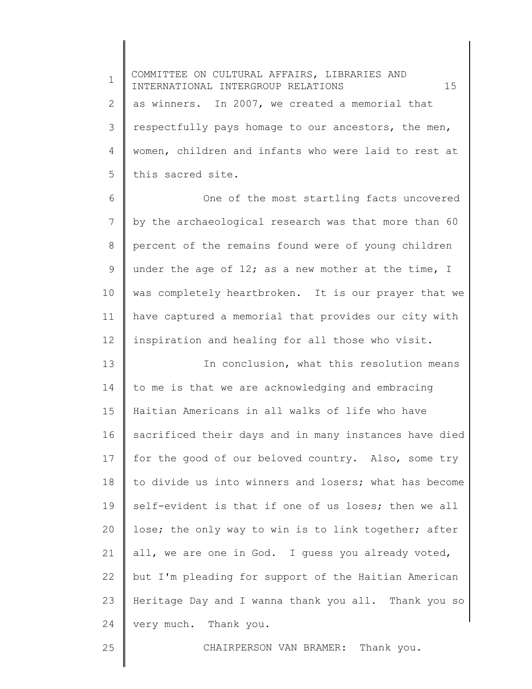1 2 3 4 5 COMMITTEE ON CULTURAL AFFAIRS, LIBRARIES AND INTERNATIONAL INTERGROUP RELATIONS 15 as winners. In 2007, we created a memorial that respectfully pays homage to our ancestors, the men, women, children and infants who were laid to rest at this sacred site.

6 7 8 9 10 11 12 One of the most startling facts uncovered by the archaeological research was that more than 60 percent of the remains found were of young children under the age of 12; as a new mother at the time, I was completely heartbroken. It is our prayer that we have captured a memorial that provides our city with inspiration and healing for all those who visit.

13 14 15 16 17 18 19 20 21 22 23 24 In conclusion, what this resolution means to me is that we are acknowledging and embracing Haitian Americans in all walks of life who have sacrificed their days and in many instances have died for the good of our beloved country. Also, some try to divide us into winners and losers; what has become self-evident is that if one of us loses; then we all lose; the only way to win is to link together; after all, we are one in God. I guess you already voted, but I'm pleading for support of the Haitian American Heritage Day and I wanna thank you all. Thank you so very much. Thank you.

25

CHAIRPERSON VAN BRAMER: Thank you.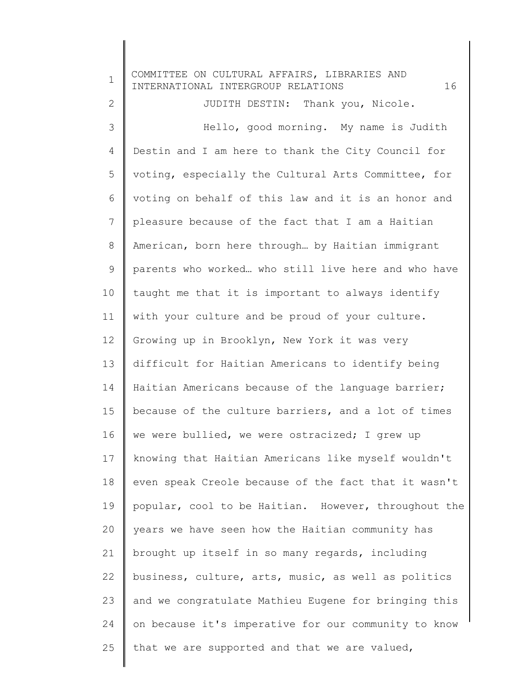1 2 3 4 5 6 7 8 9 10 11 12 13 14 15 16 17 18 19 20 21 22 23 24 25 COMMITTEE ON CULTURAL AFFAIRS, LIBRARIES AND INTERNATIONAL INTERGROUP RELATIONS 16 JUDITH DESTIN: Thank you, Nicole. Hello, good morning. My name is Judith Destin and I am here to thank the City Council for voting, especially the Cultural Arts Committee, for voting on behalf of this law and it is an honor and pleasure because of the fact that I am a Haitian American, born here through… by Haitian immigrant parents who worked… who still live here and who have taught me that it is important to always identify with your culture and be proud of your culture. Growing up in Brooklyn, New York it was very difficult for Haitian Americans to identify being Haitian Americans because of the language barrier; because of the culture barriers, and a lot of times we were bullied, we were ostracized; I grew up knowing that Haitian Americans like myself wouldn't even speak Creole because of the fact that it wasn't popular, cool to be Haitian. However, throughout the years we have seen how the Haitian community has brought up itself in so many regards, including business, culture, arts, music, as well as politics and we congratulate Mathieu Eugene for bringing this on because it's imperative for our community to know that we are supported and that we are valued,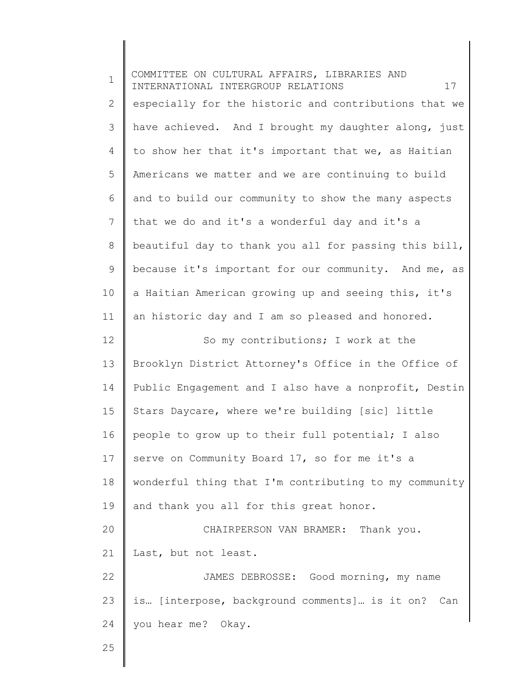| $\mathbf 1$  | COMMITTEE ON CULTURAL AFFAIRS, LIBRARIES AND<br>17<br>INTERNATIONAL INTERGROUP RELATIONS |
|--------------|------------------------------------------------------------------------------------------|
| $\mathbf{2}$ | especially for the historic and contributions that we                                    |
| 3            | have achieved. And I brought my daughter along, just                                     |
| 4            | to show her that it's important that we, as Haitian                                      |
| 5            | Americans we matter and we are continuing to build                                       |
| 6            | and to build our community to show the many aspects                                      |
| 7            | that we do and it's a wonderful day and it's a                                           |
| 8            | beautiful day to thank you all for passing this bill,                                    |
| 9            | because it's important for our community. And me, as                                     |
| 10           | a Haitian American growing up and seeing this, it's                                      |
| 11           | an historic day and I am so pleased and honored.                                         |
| 12           | So my contributions; I work at the                                                       |
| 13           | Brooklyn District Attorney's Office in the Office of                                     |
| 14           | Public Engagement and I also have a nonprofit, Destin                                    |
| 15           | Stars Daycare, where we're building [sic] little                                         |
| 16           | people to grow up to their full potential; I also                                        |
| 17           | serve on Community Board 17, so for me it's a                                            |
| 18           | wonderful thing that I'm contributing to my community                                    |
| 19           | and thank you all for this great honor.                                                  |
| 20           | CHAIRPERSON VAN BRAMER: Thank you.                                                       |
| 21           | Last, but not least.                                                                     |
| 22           | JAMES DEBROSSE: Good morning, my name                                                    |
| 23           | is [interpose, background comments] is it on? Can                                        |
| 24           | you hear me? Okay.                                                                       |
| 25           |                                                                                          |
|              |                                                                                          |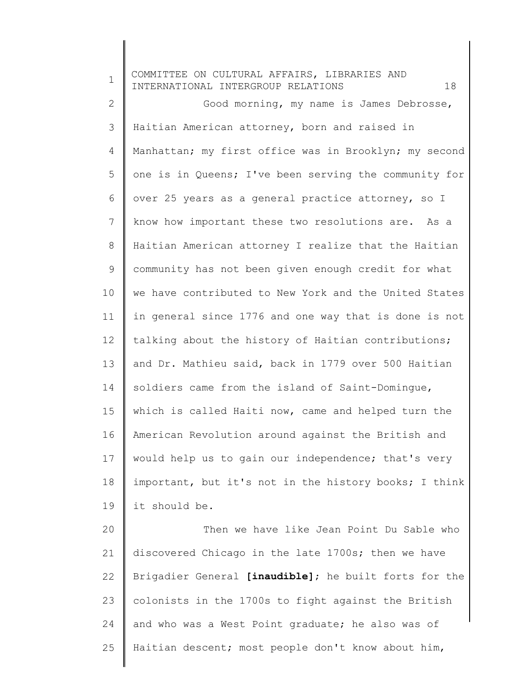1 2 3 4 5 6 7 8 9 10 11 12 13 14 15 16 17 18 19 20 21 22 23 24 COMMITTEE ON CULTURAL AFFAIRS, LIBRARIES AND INTERNATIONAL INTERGROUP RELATIONS 18 Good morning, my name is James Debrosse, Haitian American attorney, born and raised in Manhattan; my first office was in Brooklyn; my second one is in Queens; I've been serving the community for over 25 years as a general practice attorney, so I know how important these two resolutions are. As a Haitian American attorney I realize that the Haitian community has not been given enough credit for what we have contributed to New York and the United States in general since 1776 and one way that is done is not talking about the history of Haitian contributions; and Dr. Mathieu said, back in 1779 over 500 Haitian soldiers came from the island of Saint-Domingue, which is called Haiti now, came and helped turn the American Revolution around against the British and would help us to gain our independence; that's very important, but it's not in the history books; I think it should be. Then we have like Jean Point Du Sable who discovered Chicago in the late 1700s; then we have Brigadier General **[inaudible]**; he built forts for the colonists in the 1700s to fight against the British and who was a West Point graduate; he also was of

Haitian descent; most people don't know about him,

25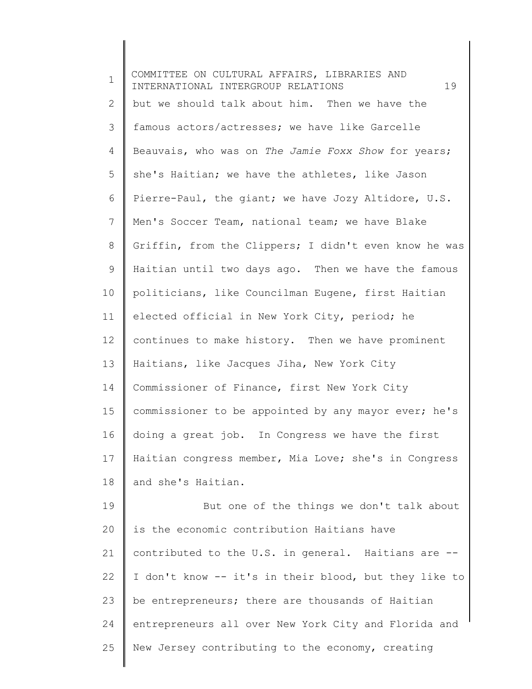1 2 3 4 5 6 7 8 9 10 11 12 13 14 15 16 17 18 19 20 21 22 23 24 COMMITTEE ON CULTURAL AFFAIRS, LIBRARIES AND INTERNATIONAL INTERGROUP RELATIONS 19 but we should talk about him. Then we have the famous actors/actresses; we have like Garcelle Beauvais, who was on *The Jamie Foxx Show* for years; she's Haitian; we have the athletes, like Jason Pierre-Paul, the giant; we have Jozy Altidore, U.S. Men's Soccer Team, national team; we have Blake Griffin, from the Clippers; I didn't even know he was Haitian until two days ago. Then we have the famous politicians, like Councilman Eugene, first Haitian elected official in New York City, period; he continues to make history. Then we have prominent Haitians, like Jacques Jiha, New York City Commissioner of Finance, first New York City commissioner to be appointed by any mayor ever; he's doing a great job. In Congress we have the first Haitian congress member, Mia Love; she's in Congress and she's Haitian. But one of the things we don't talk about is the economic contribution Haitians have contributed to the U.S. in general. Haitians are -- I don't know -- it's in their blood, but they like to be entrepreneurs; there are thousands of Haitian entrepreneurs all over New York City and Florida and

New Jersey contributing to the economy, creating

25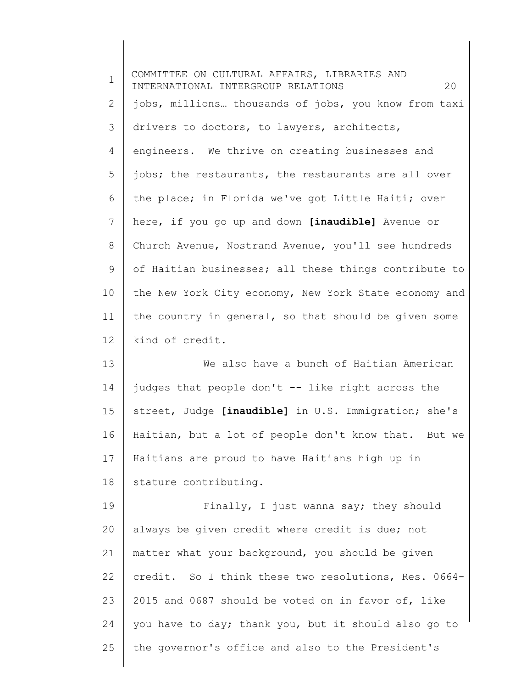| $\mathbf 1$  | COMMITTEE ON CULTURAL AFFAIRS, LIBRARIES AND<br>INTERNATIONAL INTERGROUP RELATIONS<br>20 |
|--------------|------------------------------------------------------------------------------------------|
| $\mathbf{2}$ | jobs, millions thousands of jobs, you know from taxi                                     |
| 3            | drivers to doctors, to lawyers, architects,                                              |
| 4            | engineers. We thrive on creating businesses and                                          |
| 5            | jobs; the restaurants, the restaurants are all over                                      |
| 6            | the place; in Florida we've got Little Haiti; over                                       |
| 7            | here, if you go up and down [inaudible] Avenue or                                        |
| $\,8\,$      | Church Avenue, Nostrand Avenue, you'll see hundreds                                      |
| 9            | of Haitian businesses; all these things contribute to                                    |
| 10           | the New York City economy, New York State economy and                                    |
| 11           | the country in general, so that should be given some                                     |
| 12           | kind of credit.                                                                          |
| 13           | We also have a bunch of Haitian American                                                 |
| 14           | judges that people don't -- like right across the                                        |
| 15           | street, Judge [inaudible] in U.S. Immigration; she's                                     |
| 16           | Haitian, but a lot of people don't know that. But we                                     |
| 17           | Haitians are proud to have Haitians high up in                                           |
| 18           | stature contributing.                                                                    |
| 19           | Finally, I just wanna say; they should                                                   |
| 20           | always be given credit where credit is due; not                                          |
| 21           | matter what your background, you should be given                                         |
| 22           | credit. So I think these two resolutions, Res. 0664-                                     |
| 23           | 2015 and 0687 should be voted on in favor of, like                                       |
| 24           | you have to day; thank you, but it should also go to                                     |
| 25           | the governor's office and also to the President's                                        |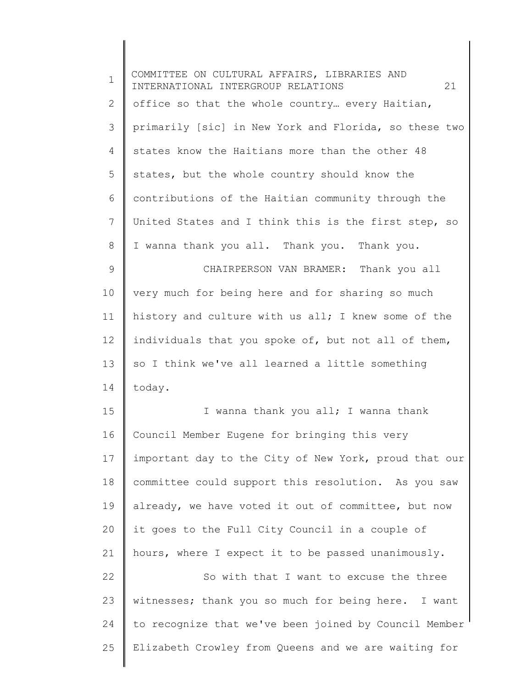| $\mathbf 1$  | COMMITTEE ON CULTURAL AFFAIRS, LIBRARIES AND<br>INTERNATIONAL INTERGROUP RELATIONS<br>21 |
|--------------|------------------------------------------------------------------------------------------|
| $\mathbf{2}$ | office so that the whole country every Haitian,                                          |
| 3            | primarily [sic] in New York and Florida, so these two                                    |
| 4            | states know the Haitians more than the other 48                                          |
| 5            | states, but the whole country should know the                                            |
| 6            | contributions of the Haitian community through the                                       |
| 7            | United States and I think this is the first step, so                                     |
| 8            | I wanna thank you all. Thank you. Thank you.                                             |
| 9            | CHAIRPERSON VAN BRAMER: Thank you all                                                    |
| 10           | very much for being here and for sharing so much                                         |
| 11           | history and culture with us all; I knew some of the                                      |
| 12           | individuals that you spoke of, but not all of them,                                      |
| 13           | so I think we've all learned a little something                                          |
| 14           | today.                                                                                   |
| 15           | I wanna thank you all; I wanna thank                                                     |
| 16           | Council Member Eugene for bringing this very                                             |
| 17           | important day to the City of New York, proud that our                                    |
| 18           | committee could support this resolution. As you saw                                      |
| 19           | already, we have voted it out of committee, but now                                      |
| 20           | it goes to the Full City Council in a couple of                                          |
| 21           | hours, where I expect it to be passed unanimously.                                       |
| 22           | So with that I want to excuse the three                                                  |
| 23           | witnesses; thank you so much for being here. I want                                      |
| 24           | to recognize that we've been joined by Council Member                                    |
| 25           | Elizabeth Crowley from Queens and we are waiting for                                     |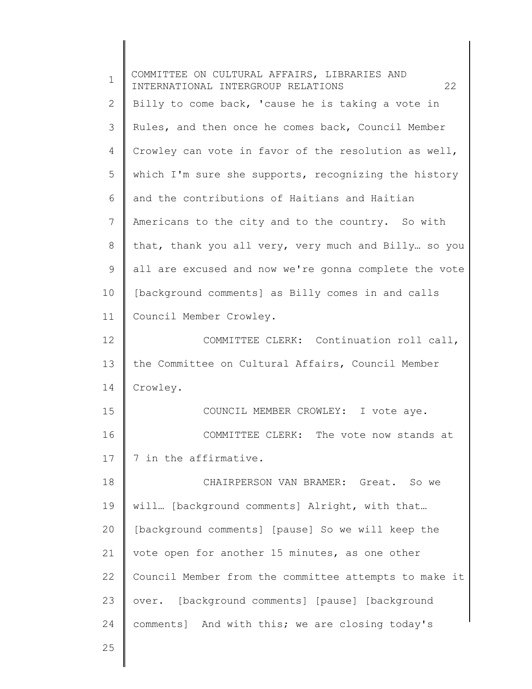| $\mathbf 1$ | COMMITTEE ON CULTURAL AFFAIRS, LIBRARIES AND<br>INTERNATIONAL INTERGROUP RELATIONS<br>22 |
|-------------|------------------------------------------------------------------------------------------|
| 2           | Billy to come back, 'cause he is taking a vote in                                        |
| 3           | Rules, and then once he comes back, Council Member                                       |
| 4           | Crowley can vote in favor of the resolution as well,                                     |
| 5           | which I'm sure she supports, recognizing the history                                     |
| 6           | and the contributions of Haitians and Haitian                                            |
| 7           | Americans to the city and to the country. So with                                        |
| 8           | that, thank you all very, very much and Billy so you                                     |
| 9           | all are excused and now we're gonna complete the vote                                    |
| 10          | [background comments] as Billy comes in and calls                                        |
| 11          | Council Member Crowley.                                                                  |
| 12          | COMMITTEE CLERK: Continuation roll call,                                                 |
| 13          | the Committee on Cultural Affairs, Council Member                                        |
| 14          | Crowley.                                                                                 |
| 15          | COUNCIL MEMBER CROWLEY: I vote aye.                                                      |
| 16          | COMMITTEE CLERK: The vote now stands at                                                  |
| 17          | 7 in the affirmative.                                                                    |
| 18          | CHAIRPERSON VAN BRAMER: Great. So we                                                     |
| 19          | will [background comments] Alright, with that                                            |
| 20          | [background comments] [pause] So we will keep the                                        |
| 21          | vote open for another 15 minutes, as one other                                           |
| 22          | Council Member from the committee attempts to make it                                    |
| 23          | over. [background comments] [pause] [background                                          |
| 24          | comments] And with this; we are closing today's                                          |
| 25          |                                                                                          |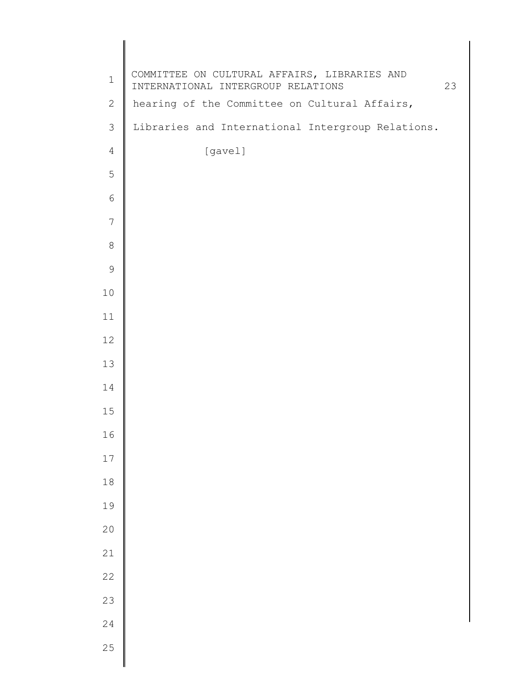| $\mathbf 1$    | COMMITTEE ON CULTURAL AFFAIRS, LIBRARIES AND<br>INTERNATIONAL INTERGROUP RELATIONS | 23 |
|----------------|------------------------------------------------------------------------------------|----|
| $\mathbf{2}$   | hearing of the Committee on Cultural Affairs,                                      |    |
| $\mathfrak{Z}$ | Libraries and International Intergroup Relations.                                  |    |
| $\overline{4}$ | [gavel]                                                                            |    |
| 5              |                                                                                    |    |
| 6              |                                                                                    |    |
| 7              |                                                                                    |    |
| $\,8\,$        |                                                                                    |    |
| $\mathsf 9$    |                                                                                    |    |
| 10             |                                                                                    |    |
| 11             |                                                                                    |    |
| 12             |                                                                                    |    |
| 13             |                                                                                    |    |
| 14             |                                                                                    |    |
| 15             |                                                                                    |    |
| 16             |                                                                                    |    |
| $17$           |                                                                                    |    |
| $18$           |                                                                                    |    |
| 19             |                                                                                    |    |
| 20             |                                                                                    |    |
| $21\,$         |                                                                                    |    |
| 22             |                                                                                    |    |
| 23             |                                                                                    |    |
| 24             |                                                                                    |    |
| 25             |                                                                                    |    |
|                |                                                                                    |    |